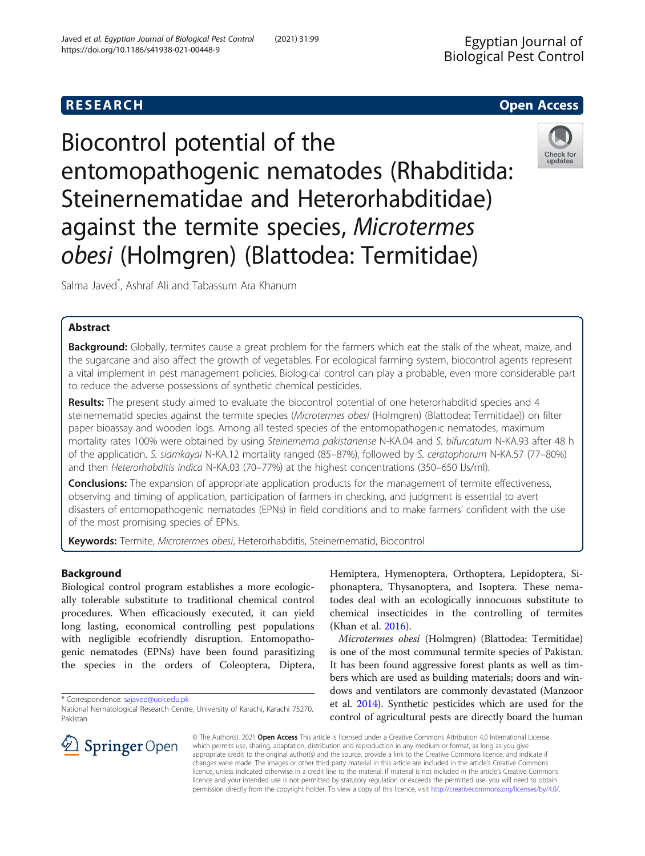# **RESEARCH CHE Open Access**

Biocontrol potential of the entomopathogenic nematodes (Rhabditida: Steinernematidae and Heterorhabditidae) against the termite species, Microtermes obesi (Holmgren) (Blattodea: Termitidae)



Salma Javed\* , Ashraf Ali and Tabassum Ara Khanum

# Abstract

Background: Globally, termites cause a great problem for the farmers which eat the stalk of the wheat, maize, and the sugarcane and also affect the growth of vegetables. For ecological farming system, biocontrol agents represent a vital implement in pest management policies. Biological control can play a probable, even more considerable part to reduce the adverse possessions of synthetic chemical pesticides.

Results: The present study aimed to evaluate the biocontrol potential of one heterorhabditid species and 4 steinernematid species against the termite species (Microtermes obesi (Holmgren) (Blattodea: Termitidae)) on filter paper bioassay and wooden logs. Among all tested species of the entomopathogenic nematodes, maximum mortality rates 100% were obtained by using Steinernema pakistanense N-KA.04 and S. bifurcatum N-KA.93 after 48 h of the application. S. siamkayai N-KA.12 mortality ranged (85–87%), followed by S. ceratophorum N-KA.57 (77–80%) and then Heterorhabditis indica N-KA.03 (70–77%) at the highest concentrations (350–650 IJs/ml).

**Conclusions:** The expansion of appropriate application products for the management of termite effectiveness, observing and timing of application, participation of farmers in checking, and judgment is essential to avert disasters of entomopathogenic nematodes (EPNs) in field conditions and to make farmers' confident with the use of the most promising species of EPNs.

Keywords: Termite, Microtermes obesi, Heterorhabditis, Steinernematid, Biocontrol

# Background

Biological control program establishes a more ecologically tolerable substitute to traditional chemical control procedures. When efficaciously executed, it can yield long lasting, economical controlling pest populations with negligible ecofriendly disruption. Entomopathogenic nematodes (EPNs) have been found parasitizing the species in the orders of Coleoptera, Diptera,

\* Correspondence: [sajaved@uok.edu.pk](mailto:sajaved@uok.edu.pk)



Microtermes obesi (Holmgren) (Blattodea: Termitidae) is one of the most communal termite species of Pakistan. It has been found aggressive forest plants as well as timbers which are used as building materials; doors and windows and ventilators are commonly devastated (Manzoor et al. [2014\)](#page-3-0). Synthetic pesticides which are used for the control of agricultural pests are directly board the human



© The Author(s). 2021 Open Access This article is licensed under a Creative Commons Attribution 4.0 International License, which permits use, sharing, adaptation, distribution and reproduction in any medium or format, as long as you give appropriate credit to the original author(s) and the source, provide a link to the Creative Commons licence, and indicate if changes were made. The images or other third party material in this article are included in the article's Creative Commons licence, unless indicated otherwise in a credit line to the material. If material is not included in the article's Creative Commons licence and your intended use is not permitted by statutory regulation or exceeds the permitted use, you will need to obtain permission directly from the copyright holder. To view a copy of this licence, visit <http://creativecommons.org/licenses/by/4.0/>.

National Nematological Research Centre, University of Karachi, Karachi 75270, Pakistan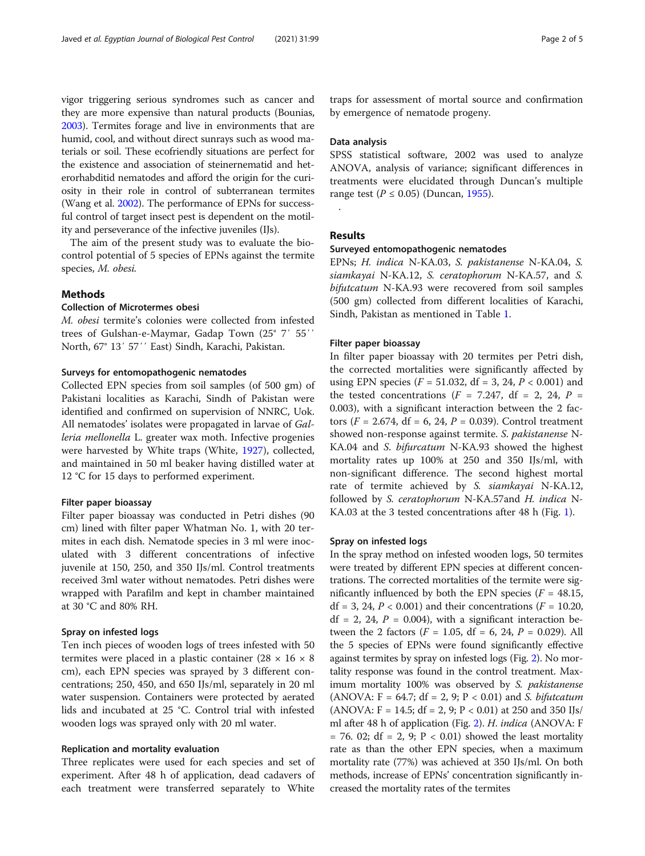vigor triggering serious syndromes such as cancer and they are more expensive than natural products (Bounias, [2003\)](#page-3-0). Termites forage and live in environments that are humid, cool, and without direct sunrays such as wood materials or soil. These ecofriendly situations are perfect for the existence and association of steinernematid and heterorhabditid nematodes and afford the origin for the curiosity in their role in control of subterranean termites (Wang et al. [2002\)](#page-3-0). The performance of EPNs for successful control of target insect pest is dependent on the motility and perseverance of the infective juveniles (IJs).

The aim of the present study was to evaluate the biocontrol potential of 5 species of EPNs against the termite species, M. obesi.

# Methods

### Collection of Microtermes obesi

M. obesi termite's colonies were collected from infested trees of Gulshan-e-Maymar, Gadap Town (25° 7′ 55′′ North, 67° 13′ 57′′ East) Sindh, Karachi, Pakistan.

#### Surveys for entomopathogenic nematodes

Collected EPN species from soil samples (of 500 gm) of Pakistani localities as Karachi, Sindh of Pakistan were identified and confirmed on supervision of NNRC, Uok. All nematodes' isolates were propagated in larvae of Galleria mellonella L. greater wax moth. Infective progenies were harvested by White traps (White, [1927](#page-4-0)), collected, and maintained in 50 ml beaker having distilled water at 12 °C for 15 days to performed experiment.

#### Filter paper bioassay

Filter paper bioassay was conducted in Petri dishes (90 cm) lined with filter paper Whatman No. 1, with 20 termites in each dish. Nematode species in 3 ml were inoculated with 3 different concentrations of infective juvenile at 150, 250, and 350 IJs/ml. Control treatments received 3ml water without nematodes. Petri dishes were wrapped with Parafilm and kept in chamber maintained at 30 °C and 80% RH.

## Spray on infested logs

Ten inch pieces of wooden logs of trees infested with 50 termites were placed in a plastic container  $(28 \times 16 \times 8)$ cm), each EPN species was sprayed by 3 different concentrations; 250, 450, and 650 IJs/ml, separately in 20 ml water suspension. Containers were protected by aerated lids and incubated at 25 °C. Control trial with infested wooden logs was sprayed only with 20 ml water.

#### Replication and mortality evaluation

Three replicates were used for each species and set of experiment. After 48 h of application, dead cadavers of each treatment were transferred separately to White

traps for assessment of mortal source and confirmation by emergence of nematode progeny.

# Data analysis

SPSS statistical software, 2002 was used to analyze ANOVA, analysis of variance; significant differences in treatments were elucidated through Duncan's multiple range test ( $P \le 0.05$ ) (Duncan, [1955\)](#page-3-0).

.

# Results

#### Surveyed entomopathogenic nematodes

EPNs; H. indica N-KA.03, S. pakistanense N-KA.04, S. siamkayai N-KA.12, S. ceratophorum N-KA.57, and S. bifutcatum N-KA.93 were recovered from soil samples (500 gm) collected from different localities of Karachi, Sindh, Pakistan as mentioned in Table [1](#page-2-0).

## Filter paper bioassay

In filter paper bioassay with 20 termites per Petri dish, the corrected mortalities were significantly affected by using EPN species ( $F = 51.032$ , df = 3, 24,  $P < 0.001$ ) and the tested concentrations ( $F = 7.247$ , df = 2, 24,  $P =$ 0.003), with a significant interaction between the 2 factors ( $F = 2.674$ , df = 6, 24,  $P = 0.039$ ). Control treatment showed non-response against termite. S. pakistanense N-KA.04 and S. bifurcatum N-KA.93 showed the highest mortality rates up 100% at 250 and 350 IJs/ml, with non-significant difference. The second highest mortal rate of termite achieved by S. siamkayai N-KA.12, followed by S. ceratophorum N-KA.57and H. indica N-KA.03 at the 3 tested concentrations after 48 h (Fig. [1\)](#page-2-0).

#### Spray on infested logs

In the spray method on infested wooden logs, 50 termites were treated by different EPN species at different concentrations. The corrected mortalities of the termite were significantly influenced by both the EPN species ( $F = 48.15$ ,  $df = 3$ , 24,  $P < 0.001$ ) and their concentrations ( $F = 10.20$ ,  $df = 2$ , 24,  $P = 0.004$ ), with a significant interaction between the 2 factors ( $F = 1.05$ , df = 6, 24,  $P = 0.029$ ). All the 5 species of EPNs were found significantly effective against termites by spray on infested logs (Fig. [2\)](#page-3-0). No mortality response was found in the control treatment. Maximum mortality 100% was observed by S. *pakistanense* (ANOVA:  $F = 64.7$ ; df = 2, 9; P < 0.01) and S. bifutcatum  $(ANOVA: F = 14.5; df = 2, 9; P < 0.01)$  at 250 and 350 IJs/ ml after 48 h of application (Fig. [2](#page-3-0)). H. indica (ANOVA: F  $= 76.$  02; df  $= 2, 9; P < 0.01$ ) showed the least mortality rate as than the other EPN species, when a maximum mortality rate (77%) was achieved at 350 IJs/ml. On both methods, increase of EPNs' concentration significantly increased the mortality rates of the termites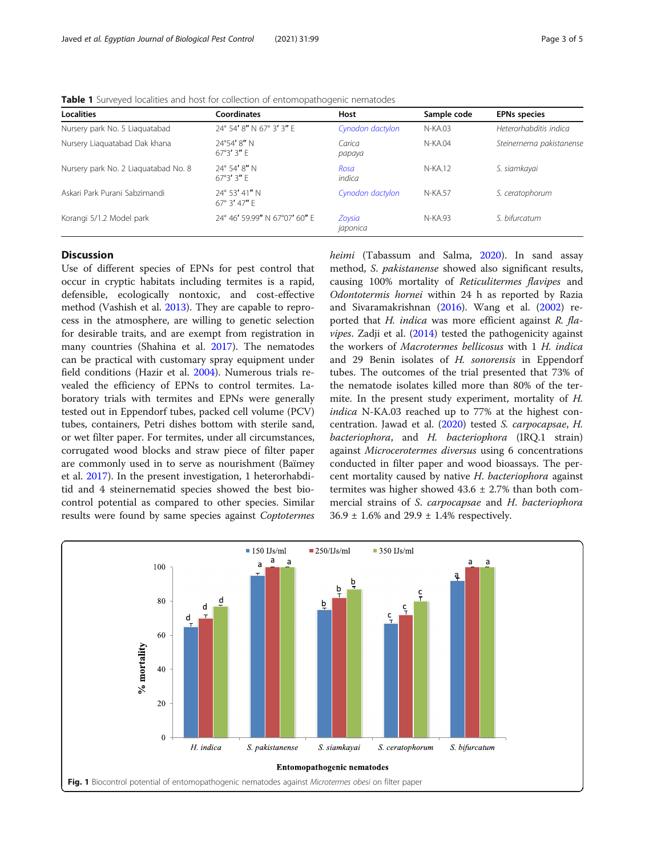| <b>Localities</b>                    | Coordinates                                     | Host               | Sample code | <b>EPNs species</b>      |
|--------------------------------------|-------------------------------------------------|--------------------|-------------|--------------------------|
| Nursery park No. 5 Liaquatabad       | 24° 54' 8" N 67° 3' 3" E                        | Cynodon dactylon   | $N-KA.03$   | Heterorhabditis indica   |
| Nursery Liaguatabad Dak khana        | $24^{\circ}54'$ $8''$ N<br>$67^{\circ}3'3''$ F  | Carica<br>papaya   | N-KA.04     | Steinernema pakistanense |
| Nursery park No. 2 Liaguatabad No. 8 | $24^{\circ}$ 54' 8" N<br>$67^{\circ}3'3''$ F    | Rosa<br>indica     | N-KA.12     | S. siamkayai             |
| Askari Park Purani Sabzimandi        | $24^{\circ}$ 53' 41" N<br>$67^{\circ}$ 3' 47" F | Cynodon dactylon   | N-KA.57     | S. ceratophorum          |
| Korangi 5/1.2 Model park             | 24° 46' 59.99" N 67°07' 60" E                   | Zoysia<br>japonica | N-KA.93     | S. bifurcatum            |

<span id="page-2-0"></span>Table 1 Surveyed localities and host for collection of entomopathogenic nematodes

# **Discussion**

Use of different species of EPNs for pest control that occur in cryptic habitats including termites is a rapid, defensible, ecologically nontoxic, and cost-effective method (Vashish et al. [2013](#page-3-0)). They are capable to reprocess in the atmosphere, are willing to genetic selection for desirable traits, and are exempt from registration in many countries (Shahina et al. [2017\)](#page-3-0). The nematodes can be practical with customary spray equipment under field conditions (Hazir et al. [2004](#page-3-0)). Numerous trials revealed the efficiency of EPNs to control termites. Laboratory trials with termites and EPNs were generally tested out in Eppendorf tubes, packed cell volume (PCV) tubes, containers, Petri dishes bottom with sterile sand, or wet filter paper. For termites, under all circumstances, corrugated wood blocks and straw piece of filter paper are commonly used in to serve as nourishment (Baïmey et al. [2017](#page-3-0)). In the present investigation, 1 heterorhabditid and 4 steinernematid species showed the best biocontrol potential as compared to other species. Similar results were found by same species against Coptotermes heimi (Tabassum and Salma, [2020\)](#page-3-0). In sand assay method, S. pakistanense showed also significant results, causing 100% mortality of Reticulitermes flavipes and Odontotermis hornei within 24 h as reported by Razia and Sivaramakrishnan ([2016](#page-3-0)). Wang et al. ([2002](#page-3-0)) reported that H. indica was more efficient against R. fla*vipes.* Zadji et al.  $(2014)$  $(2014)$  tested the pathogenicity against the workers of Macrotermes bellicosus with 1 H. indica and 29 Benin isolates of H. sonorensis in Eppendorf tubes. The outcomes of the trial presented that 73% of the nematode isolates killed more than 80% of the termite. In the present study experiment, mortality of H. indica N-KA.03 reached up to 77% at the highest concentration. Jawad et al. ([2020\)](#page-3-0) tested S. carpocapsae, H. bacteriophora, and H. bacteriophora (IRQ.1 strain) against Microcerotermes diversus using 6 concentrations conducted in filter paper and wood bioassays. The percent mortality caused by native H. bacteriophora against termites was higher showed  $43.6 \pm 2.7\%$  than both commercial strains of S. carpocapsae and H. bacteriophora  $36.9 \pm 1.6\%$  and  $29.9 \pm 1.4\%$  respectively.

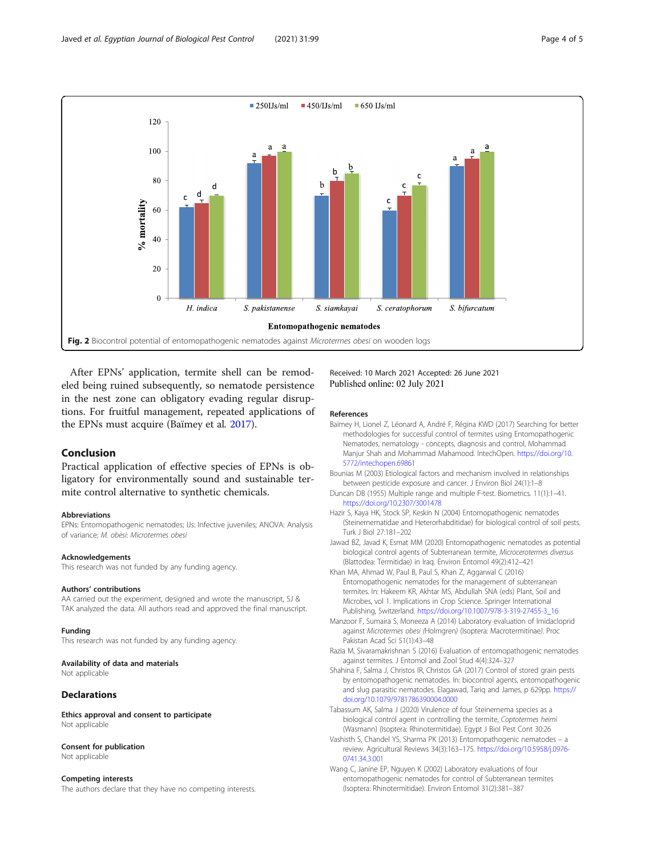<span id="page-3-0"></span>

After EPNs' application, termite shell can be remodeled being ruined subsequently, so nematode persistence in the nest zone can obligatory evading regular disruptions. For fruitful management, repeated applications of the EPNs must acquire (Baïmey et al. 2017).

# Conclusion

Practical application of effective species of EPNs is obligatory for environmentally sound and sustainable termite control alternative to synthetic chemicals.

#### Abbreviations

EPNs: Entomopathogenic nematodes; IJs: Infective juveniles; ANOVA: Analysis of variance; M. obesi: Microtermes obesi

#### Acknowledgements

This research was not funded by any funding agency.

#### Authors' contributions

AA carried out the experiment, designed and wrote the manuscript, SJ & TAK analyzed the data. All authors read and approved the final manuscript.

#### Funding

This research was not funded by any funding agency.

## Availability of data and materials

Not applicable

#### Declarations

Ethics approval and consent to participate Not applicable

#### Consent for publication

Not applicable

#### Competing interests

The authors declare that they have no competing interests.

Received: 10 March 2021 Accepted: 26 June 2021 Published online: 02 July 2021

#### References

- Baïmey H, Lionel Z, Léonard A, André F, Régina KWD (2017) Searching for better methodologies for successful control of termites using Entomopathogenic Nematodes, nematology - concepts, diagnosis and control, Mohammad Manjur Shah and Mohammad Mahamood. IntechOpen. [https://doi.org/10.](https://doi.org/10.5772/intechopen.69861) [5772/intechopen.69861](https://doi.org/10.5772/intechopen.69861)
- Bounias M (2003) Etiological factors and mechanism involved in relationships between pesticide exposure and cancer. J Environ Biol 24(1):1–8
- Duncan DB (1955) Multiple range and multiple F-test. Biometrics. 11(1):1–41. <https://doi.org/10.2307/3001478>
- Hazir S, Kaya HK, Stock SP, Keskin N (2004) Entomopathogenic nematodes (Steinernematidae and Heterorhabditidae) for biological control of soil pests. Turk J Biol 27:181–202
- Jawad BZ, Javad K, Esmat MM (2020) Entomopathogenic nematodes as potential biological control agents of Subterranean termite, Microcerotermes diversus (Blattodea: Termitidae) in Iraq. Environ Entomol 49(2):412–421
- Khan MA, Ahmad W, Paul B, Paul S, Khan Z, Aggarwal C (2016) Entomopathogenic nematodes for the management of subterranean termites. In: Hakeem KR, Akhtar MS, Abdullah SNA (eds) Plant, Soil and Microbes, vol 1. Implications in Crop Science. Springer International Publishing, Switzerland. [https://doi.org/10.1007/978-3-319-27455-3\\_16](https://doi.org/10.1007/978-3-319-27455-3_16)
- Manzoor F, Sumaira S, Moneeza A (2014) Laboratory evaluation of Imidacloprid against Microtermes obesi (Holmgren) (Isoptera: Macrotermitinae). Proc Pakistan Acad Sci 51(1):43–48
- Razia M, Sivaramakrishnan S (2016) Evaluation of entomopathogenic nematodes against termites. J Entomol and Zool Stud 4(4):324–327
- Shahina F, Salma J, Christos IR, Christos GA (2017) Control of stored grain pests by entomopathogenic nematodes. In: biocontrol agents, entomopathogenic and slug parasitic nematodes. Elagawad, Tariq and James, p 629pp. [https://](https://doi.org/10.1079/9781786390004.0000) [doi.org/10.1079/9781786390004.0000](https://doi.org/10.1079/9781786390004.0000)
- Tabassum AK, Salma J (2020) Virulence of four Steinernema species as a biological control agent in controlling the termite, Coptotermes heimi (Wasmann) (Isoptera: Rhinotermitidae). Egypt J Biol Pest Cont 30:26
- Vashisth S, Chandel YS, Sharma PK (2013) Entomopathogenic nematodes a review. Agricultural Reviews 34(3):163–175. [https://doi.org/10.5958/j.0976-](https://doi.org/10.5958/j.0976-0741.34.3.001) [0741.34.3.001](https://doi.org/10.5958/j.0976-0741.34.3.001)
- Wang C, Janine EP, Nguyen K (2002) Laboratory evaluations of four entomopathogenic nematodes for control of Subterranean termites (Isoptera: Rhinotermitidae). Environ Entomol 31(2):381–387